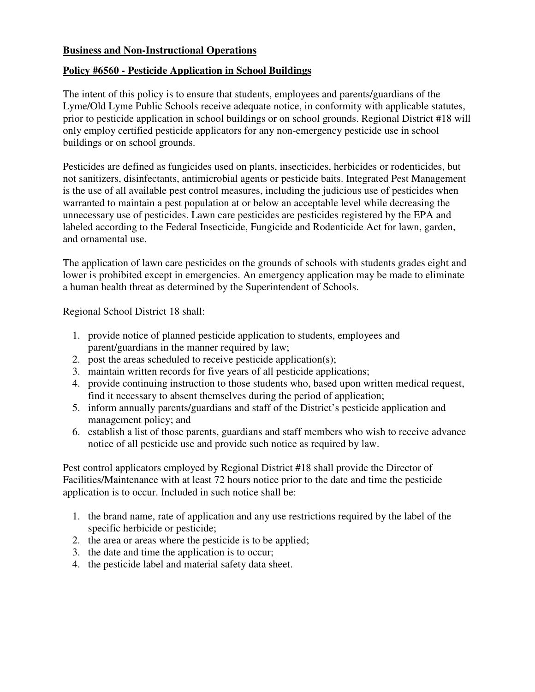## **Business and Non-Instructional Operations**

# **Policy #6560 - Pesticide Application in School Buildings**

 The intent of this policy is to ensure that students, employees and parents/guardians of the Lyme/Old Lyme Public Schools receive adequate notice, in conformity with applicable statutes, prior to pesticide application in school buildings or on school grounds. Regional District #18 will only employ certified pesticide applicators for any non-emergency pesticide use in school buildings or on school grounds.

 Pesticides are defined as fungicides used on plants, insecticides, herbicides or rodenticides, but not sanitizers, disinfectants, antimicrobial agents or pesticide baits. Integrated Pest Management is the use of all available pest control measures, including the judicious use of pesticides when warranted to maintain a pest population at or below an acceptable level while decreasing the unnecessary use of pesticides. Lawn care pesticides are pesticides registered by the EPA and labeled according to the Federal Insecticide, Fungicide and Rodenticide Act for lawn, garden, and ornamental use.

 The application of lawn care pesticides on the grounds of schools with students grades eight and lower is prohibited except in emergencies. An emergency application may be made to eliminate a human health threat as determined by the Superintendent of Schools.

Regional School District 18 shall:

- 1. provide notice of planned pesticide application to students, employees and parent/guardians in the manner required by law;
- 2. post the areas scheduled to receive pesticide application(s);
- 3. maintain written records for five years of all pesticide applications;
- 4. provide continuing instruction to those students who, based upon written medical request, find it necessary to absent themselves during the period of application;
- 5. inform annually parents/guardians and staff of the District's pesticide application and management policy; and
- 6. establish a list of those parents, guardians and staff members who wish to receive advance notice of all pesticide use and provide such notice as required by law.

 Pest control applicators employed by Regional District #18 shall provide the Director of Facilities/Maintenance with at least 72 hours notice prior to the date and time the pesticide application is to occur. Included in such notice shall be:

- 1. the brand name, rate of application and any use restrictions required by the label of the specific herbicide or pesticide;
- 2. the area or areas where the pesticide is to be applied;
- 3. the date and time the application is to occur;
- 4. the pesticide label and material safety data sheet.